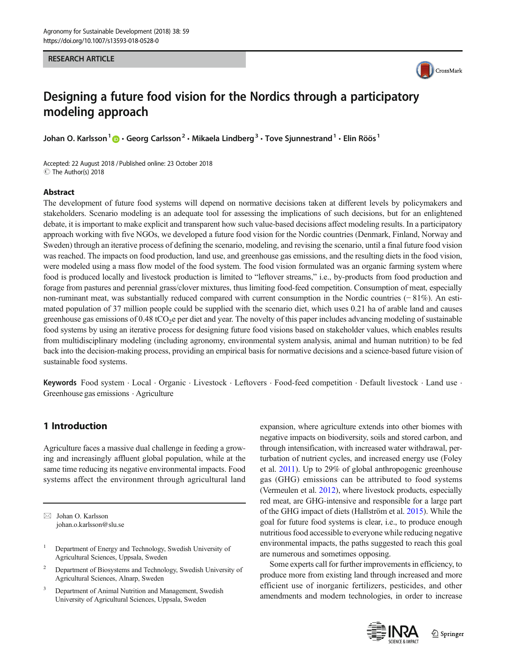#### RESEARCH ARTICLE



# Designing a future food vision for the Nordics through a participatory modeling approach

Johan O. Karlsson<sup>1</sup>  $\cdot$  Georg Carlsson<sup>2</sup>  $\cdot$  Mikaela Lindberg<sup>3</sup>  $\cdot$  Tove Sjunnestrand<sup>1</sup>  $\cdot$  Elin Röös<sup>1</sup>

Accepted: 22 August 2018 /Published online: 23 October 2018 © The Author(s) 2018

#### Abstract

The development of future food systems will depend on normative decisions taken at different levels by policymakers and stakeholders. Scenario modeling is an adequate tool for assessing the implications of such decisions, but for an enlightened debate, it is important to make explicit and transparent how such value-based decisions affect modeling results. In a participatory approach working with five NGOs, we developed a future food vision for the Nordic countries (Denmark, Finland, Norway and Sweden) through an iterative process of defining the scenario, modeling, and revising the scenario, until a final future food vision was reached. The impacts on food production, land use, and greenhouse gas emissions, and the resulting diets in the food vision, were modeled using a mass flow model of the food system. The food vision formulated was an organic farming system where food is produced locally and livestock production is limited to "leftover streams," i.e., by-products from food production and forage from pastures and perennial grass/clover mixtures, thus limiting food-feed competition. Consumption of meat, especially non-ruminant meat, was substantially reduced compared with current consumption in the Nordic countries (− 81%). An estimated population of 37 million people could be supplied with the scenario diet, which uses 0.21 ha of arable land and causes greenhouse gas emissions of  $0.48 \text{ tCO}_2$ e per diet and year. The novelty of this paper includes advancing modeling of sustainable food systems by using an iterative process for designing future food visions based on stakeholder values, which enables results from multidisciplinary modeling (including agronomy, environmental system analysis, animal and human nutrition) to be fed back into the decision-making process, providing an empirical basis for normative decisions and a science-based future vision of sustainable food systems.

Keywords Food system . Local . Organic . Livestock . Leftovers . Food-feed competition . Default livestock . Land use . Greenhouse gas emissions . Agriculture

# 1 Introduction

Agriculture faces a massive dual challenge in feeding a growing and increasingly affluent global population, while at the same time reducing its negative environmental impacts. Food systems affect the environment through agricultural land

 $\boxtimes$  Johan O. Karlsson [johan.o.karlsson@slu.se](mailto:johan.o.karlsson@slu.se)

- <sup>1</sup> Department of Energy and Technology, Swedish University of Agricultural Sciences, Uppsala, Sweden
- <sup>2</sup> Department of Biosystems and Technology, Swedish University of Agricultural Sciences, Alnarp, Sweden
- Department of Animal Nutrition and Management, Swedish University of Agricultural Sciences, Uppsala, Sweden

expansion, where agriculture extends into other biomes with negative impacts on biodiversity, soils and stored carbon, and through intensification, with increased water withdrawal, perturbation of nutrient cycles, and increased energy use (Foley et al. [2011\)](#page-9-0). Up to 29% of global anthropogenic greenhouse gas (GHG) emissions can be attributed to food systems (Vermeulen et al. [2012](#page-9-0)), where livestock products, especially red meat, are GHG-intensive and responsible for a large part of the GHG impact of diets (Hallström et al. [2015](#page-9-0)). While the goal for future food systems is clear, i.e., to produce enough nutritious food accessible to everyone while reducing negative environmental impacts, the paths suggested to reach this goal are numerous and sometimes opposing.

Some experts call for further improvements in efficiency, to produce more from existing land through increased and more efficient use of inorganic fertilizers, pesticides, and other amendments and modern technologies, in order to increase

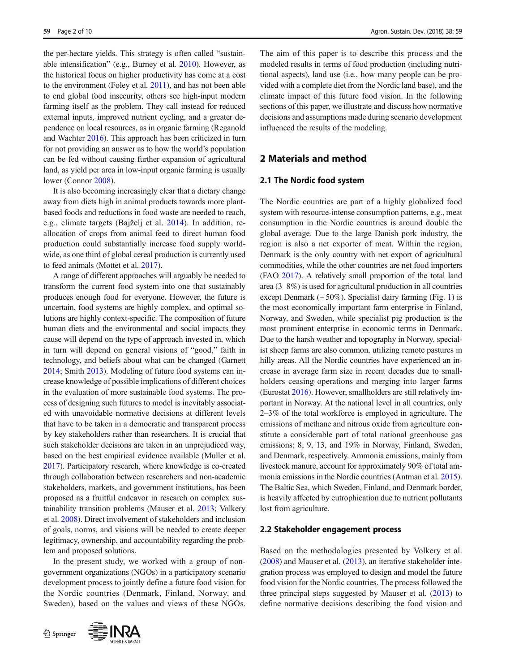the per-hectare yields. This strategy is often called "sustainable intensification" (e.g., Burney et al. [2010\)](#page-9-0). However, as the historical focus on higher productivity has come at a cost to the environment (Foley et al. [2011](#page-9-0)), and has not been able to end global food insecurity, others see high-input modern farming itself as the problem. They call instead for reduced external inputs, improved nutrient cycling, and a greater dependence on local resources, as in organic farming (Reganold and Wachter [2016](#page-9-0)). This approach has been criticized in turn for not providing an answer as to how the world's population can be fed without causing further expansion of agricultural land, as yield per area in low-input organic farming is usually lower (Connor [2008](#page-9-0)).

It is also becoming increasingly clear that a dietary change away from diets high in animal products towards more plantbased foods and reductions in food waste are needed to reach, e.g., climate targets (Bajželj et al. [2014\)](#page-9-0). In addition, reallocation of crops from animal feed to direct human food production could substantially increase food supply worldwide, as one third of global cereal production is currently used to feed animals (Mottet et al. [2017\)](#page-9-0).

A range of different approaches will arguably be needed to transform the current food system into one that sustainably produces enough food for everyone. However, the future is uncertain, food systems are highly complex, and optimal solutions are highly context-specific. The composition of future human diets and the environmental and social impacts they cause will depend on the type of approach invested in, which in turn will depend on general visions of "good," faith in technology, and beliefs about what can be changed (Garnett [2014;](#page-9-0) Smith [2013\)](#page-9-0). Modeling of future food systems can increase knowledge of possible implications of different choices in the evaluation of more sustainable food systems. The process of designing such futures to model is inevitably associated with unavoidable normative decisions at different levels that have to be taken in a democratic and transparent process by key stakeholders rather than researchers. It is crucial that such stakeholder decisions are taken in an unprejudiced way, based on the best empirical evidence available (Muller et al. [2017\)](#page-9-0). Participatory research, where knowledge is co-created through collaboration between researchers and non-academic stakeholders, markets, and government institutions, has been proposed as a fruitful endeavor in research on complex sustainability transition problems (Mauser et al. [2013](#page-9-0); Volkery et al. [2008](#page-9-0)). Direct involvement of stakeholders and inclusion of goals, norms, and visions will be needed to create deeper legitimacy, ownership, and accountability regarding the problem and proposed solutions.

In the present study, we worked with a group of nongovernment organizations (NGOs) in a participatory scenario development process to jointly define a future food vision for the Nordic countries (Denmark, Finland, Norway, and Sweden), based on the values and views of these NGOs.

<sup>2</sup> Springer



The aim of this paper is to describe this process and the modeled results in terms of food production (including nutritional aspects), land use (i.e., how many people can be provided with a complete diet from the Nordic land base), and the climate impact of this future food vision. In the following sections of this paper, we illustrate and discuss how normative decisions and assumptions made during scenario development influenced the results of the modeling.

# 2 Materials and method

## 2.1 The Nordic food system

The Nordic countries are part of a highly globalized food system with resource-intense consumption patterns, e.g., meat consumption in the Nordic countries is around double the global average. Due to the large Danish pork industry, the region is also a net exporter of meat. Within the region, Denmark is the only country with net export of agricultural commodities, while the other countries are net food importers (FAO [2017](#page-9-0)). A relatively small proportion of the total land area (3–8%) is used for agricultural production in all countries except Denmark ( $\sim$  50%). Specialist dairy farming (Fig. [1\)](#page-2-0) is the most economically important farm enterprise in Finland, Norway, and Sweden, while specialist pig production is the most prominent enterprise in economic terms in Denmark. Due to the harsh weather and topography in Norway, specialist sheep farms are also common, utilizing remote pastures in hilly areas. All the Nordic countries have experienced an increase in average farm size in recent decades due to smallholders ceasing operations and merging into larger farms (Eurostat [2016](#page-9-0)). However, smallholders are still relatively important in Norway. At the national level in all countries, only 2–3% of the total workforce is employed in agriculture. The emissions of methane and nitrous oxide from agriculture constitute a considerable part of total national greenhouse gas emissions; 8, 9, 13, and 19% in Norway, Finland, Sweden, and Denmark, respectively. Ammonia emissions, mainly from livestock manure, account for approximately 90% of total ammonia emissions in the Nordic countries (Antman et al. [2015\)](#page-9-0). The Baltic Sea, which Sweden, Finland, and Denmark border, is heavily affected by eutrophication due to nutrient pollutants lost from agriculture.

## 2.2 Stakeholder engagement process

Based on the methodologies presented by Volkery et al. [\(2008\)](#page-9-0) and Mauser et al. ([2013](#page-9-0)), an iterative stakeholder integration process was employed to design and model the future food vision for the Nordic countries. The process followed the three principal steps suggested by Mauser et al.  $(2013)$  $(2013)$  to define normative decisions describing the food vision and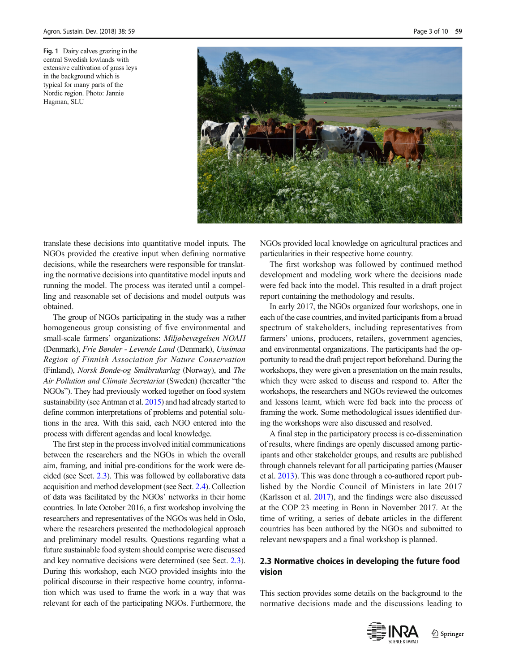<span id="page-2-0"></span>Fig. 1 Dairy calves grazing in the central Swedish lowlands with extensive cultivation of grass leys in the background which is typical for many parts of the Nordic region. Photo: Jannie Hagman, SLU



translate these decisions into quantitative model inputs. The NGOs provided the creative input when defining normative decisions, while the researchers were responsible for translating the normative decisions into quantitative model inputs and running the model. The process was iterated until a compelling and reasonable set of decisions and model outputs was obtained.

The group of NGOs participating in the study was a rather homogeneous group consisting of five environmental and small-scale farmers' organizations: Miljøbevægelsen NOAH (Denmark), Frie Bønder - Levende Land (Denmark), Uusimaa Region of Finnish Association for Nature Conservation (Finland), Norsk Bonde-og Småbrukarlag (Norway), and The Air Pollution and Climate Secretariat (Sweden) (hereafter "the NGOs"). They had previously worked together on food system sustainability (see Antman et al. [2015\)](#page-9-0) and had already started to define common interpretations of problems and potential solutions in the area. With this said, each NGO entered into the process with different agendas and local knowledge.

The first step in the process involved initial communications between the researchers and the NGOs in which the overall aim, framing, and initial pre-conditions for the work were decided (see Sect. 2.3). This was followed by collaborative data acquisition and method development (see Sect. [2.4](#page-4-0)). Collection of data was facilitated by the NGOs' networks in their home countries. In late October 2016, a first workshop involving the researchers and representatives of the NGOs was held in Oslo, where the researchers presented the methodological approach and preliminary model results. Questions regarding what a future sustainable food system should comprise were discussed and key normative decisions were determined (see Sect. 2.3). During this workshop, each NGO provided insights into the political discourse in their respective home country, information which was used to frame the work in a way that was relevant for each of the participating NGOs. Furthermore, the NGOs provided local knowledge on agricultural practices and particularities in their respective home country.

The first workshop was followed by continued method development and modeling work where the decisions made were fed back into the model. This resulted in a draft project report containing the methodology and results.

In early 2017, the NGOs organized four workshops, one in each of the case countries, and invited participants from a broad spectrum of stakeholders, including representatives from farmers' unions, producers, retailers, government agencies, and environmental organizations. The participants had the opportunity to read the draft project report beforehand. During the workshops, they were given a presentation on the main results, which they were asked to discuss and respond to. After the workshops, the researchers and NGOs reviewed the outcomes and lessons learnt, which were fed back into the process of framing the work. Some methodological issues identified during the workshops were also discussed and resolved.

A final step in the participatory process is co-dissemination of results, where findings are openly discussed among participants and other stakeholder groups, and results are published through channels relevant for all participating parties (Mauser et al. [2013\)](#page-9-0). This was done through a co-authored report published by the Nordic Council of Ministers in late 2017 (Karlsson et al. [2017](#page-9-0)), and the findings were also discussed at the COP 23 meeting in Bonn in November 2017. At the time of writing, a series of debate articles in the different countries has been authored by the NGOs and submitted to relevant newspapers and a final workshop is planned.

## 2.3 Normative choices in developing the future food vision

This section provides some details on the background to the normative decisions made and the discussions leading to



2 Springer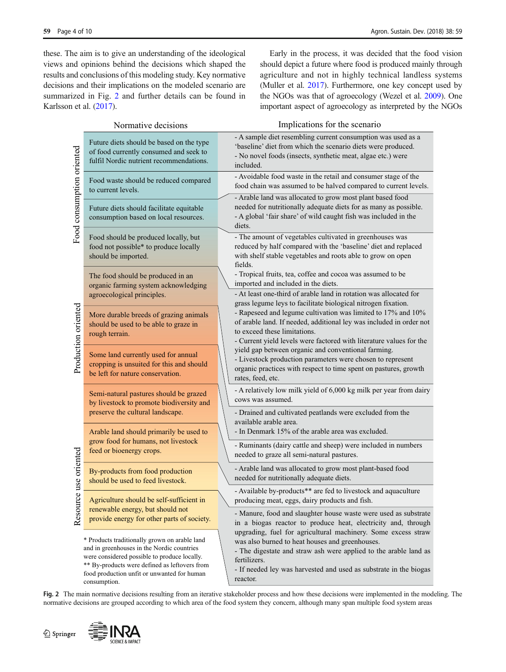these. The aim is to give an understanding of the ideological views and opinions behind the decisions which shaped the results and conclusions of this modeling study. Key normative decisions and their implications on the modeled scenario are summarized in Fig. 2 and further details can be found in Karlsson et al. ([2017](#page-9-0)).

Early in the process, it was decided that the food vision should depict a future where food is produced mainly through agriculture and not in highly technical landless systems (Muller et al. [2017\)](#page-9-0). Furthermore, one key concept used by the NGOs was that of agroecology (Wezel et al. [2009](#page-9-0)). One important aspect of agroecology as interpreted by the NGOs

|                                                  | Normative decisions                                                                                                                                                                                                                                        | Implications for the scenario                                                                                                                                                                                                                                                                                                                                                                                                                                                                                                                                                                                                                                                                                                     |  |
|--------------------------------------------------|------------------------------------------------------------------------------------------------------------------------------------------------------------------------------------------------------------------------------------------------------------|-----------------------------------------------------------------------------------------------------------------------------------------------------------------------------------------------------------------------------------------------------------------------------------------------------------------------------------------------------------------------------------------------------------------------------------------------------------------------------------------------------------------------------------------------------------------------------------------------------------------------------------------------------------------------------------------------------------------------------------|--|
| Food consumption oriented<br>Production oriented | Future diets should be based on the type<br>of food currently consumed and seek to<br>fulfil Nordic nutrient recommendations.                                                                                                                              | - A sample diet resembling current consumption was used as a<br>'baseline' diet from which the scenario diets were produced.<br>- No novel foods (insects, synthetic meat, algae etc.) were<br>included.                                                                                                                                                                                                                                                                                                                                                                                                                                                                                                                          |  |
|                                                  | Food waste should be reduced compared<br>to current levels.                                                                                                                                                                                                | - Avoidable food waste in the retail and consumer stage of the<br>food chain was assumed to be halved compared to current levels.<br>- Arable land was allocated to grow most plant based food<br>needed for nutritionally adequate diets for as many as possible.<br>- A global 'fair share' of wild caught fish was included in the<br>diets.<br>- The amount of vegetables cultivated in greenhouses was<br>reduced by half compared with the 'baseline' diet and replaced<br>with shelf stable vegetables and roots able to grow on open<br>fields.<br>- Tropical fruits, tea, coffee and cocoa was assumed to be<br>imported and included in the diets.<br>- At least one-third of arable land in rotation was allocated for |  |
|                                                  | Future diets should facilitate equitable<br>consumption based on local resources.                                                                                                                                                                          |                                                                                                                                                                                                                                                                                                                                                                                                                                                                                                                                                                                                                                                                                                                                   |  |
|                                                  | Food should be produced locally, but<br>food not possible* to produce locally<br>should be imported.                                                                                                                                                       |                                                                                                                                                                                                                                                                                                                                                                                                                                                                                                                                                                                                                                                                                                                                   |  |
|                                                  | The food should be produced in an<br>organic farming system acknowledging                                                                                                                                                                                  |                                                                                                                                                                                                                                                                                                                                                                                                                                                                                                                                                                                                                                                                                                                                   |  |
|                                                  | agroecological principles.                                                                                                                                                                                                                                 | grass legume leys to facilitate biological nitrogen fixation.                                                                                                                                                                                                                                                                                                                                                                                                                                                                                                                                                                                                                                                                     |  |
|                                                  | More durable breeds of grazing animals<br>should be used to be able to graze in<br>rough terrain.                                                                                                                                                          | - Rapeseed and legume cultivation was limited to 17% and 10%<br>of arable land. If needed, additional ley was included in order not<br>to exceed these limitations.<br>- Current yield levels were factored with literature values for the<br>yield gap between organic and conventional farming.<br>- Livestock production parameters were chosen to represent<br>organic practices with respect to time spent on pastures, growth<br>rates, feed, etc.<br>- A relatively low milk yield of 6,000 kg milk per year from dairy<br>cows was assumed.                                                                                                                                                                               |  |
|                                                  | Some land currently used for annual<br>cropping is unsuited for this and should<br>be left for nature conservation.                                                                                                                                        |                                                                                                                                                                                                                                                                                                                                                                                                                                                                                                                                                                                                                                                                                                                                   |  |
| ce use oriented<br>Resour                        | Semi-natural pastures should be grazed<br>by livestock to promote biodiversity and                                                                                                                                                                         |                                                                                                                                                                                                                                                                                                                                                                                                                                                                                                                                                                                                                                                                                                                                   |  |
|                                                  | preserve the cultural landscape.                                                                                                                                                                                                                           | - Drained and cultivated peatlands were excluded from the<br>available arable area.                                                                                                                                                                                                                                                                                                                                                                                                                                                                                                                                                                                                                                               |  |
|                                                  | Arable land should primarily be used to<br>grow food for humans, not livestock<br>feed or bioenergy crops.                                                                                                                                                 | - In Denmark 15% of the arable area was excluded.                                                                                                                                                                                                                                                                                                                                                                                                                                                                                                                                                                                                                                                                                 |  |
|                                                  |                                                                                                                                                                                                                                                            | - Ruminants (dairy cattle and sheep) were included in numbers<br>needed to graze all semi-natural pastures.                                                                                                                                                                                                                                                                                                                                                                                                                                                                                                                                                                                                                       |  |
|                                                  | By-products from food production<br>should be used to feed livestock.                                                                                                                                                                                      | - Arable land was allocated to grow most plant-based food<br>needed for nutritionally adequate diets.                                                                                                                                                                                                                                                                                                                                                                                                                                                                                                                                                                                                                             |  |
|                                                  | Agriculture should be self-sufficient in<br>renewable energy, but should not<br>provide energy for other parts of society.                                                                                                                                 | - Available by-products** are fed to livestock and aquaculture<br>producing meat, eggs, dairy products and fish.                                                                                                                                                                                                                                                                                                                                                                                                                                                                                                                                                                                                                  |  |
|                                                  |                                                                                                                                                                                                                                                            | - Manure, food and slaughter house waste were used as substrate<br>in a biogas reactor to produce heat, electricity and, through                                                                                                                                                                                                                                                                                                                                                                                                                                                                                                                                                                                                  |  |
|                                                  | * Products traditionally grown on arable land<br>and in greenhouses in the Nordic countries<br>were considered possible to produce locally.<br>** By-products were defined as leftovers from<br>food production unfit or unwanted for human<br>consumption | upgrading, fuel for agricultural machinery. Some excess straw<br>was also burned to heat houses and greenhouses.<br>- The digestate and straw ash were applied to the arable land as<br>fertilizers.<br>- If needed ley was harvested and used as substrate in the biogas<br>reactor.                                                                                                                                                                                                                                                                                                                                                                                                                                             |  |

Fig. 2 The main normative decisions resulting from an iterative stakeholder process and how these decisions were implemented in the modeling. The normative decisions are grouped according to which area of the food system they concern, although many span multiple food system areas

<sup>2</sup> Springer



consumption.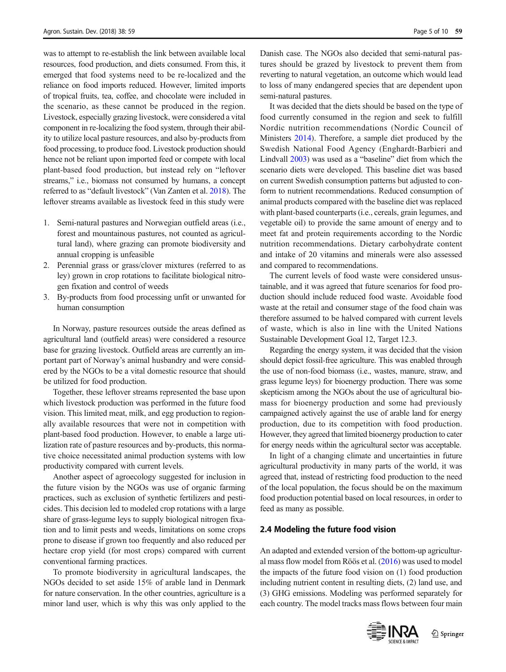<span id="page-4-0"></span>was to attempt to re-establish the link between available local resources, food production, and diets consumed. From this, it emerged that food systems need to be re-localized and the reliance on food imports reduced. However, limited imports of tropical fruits, tea, coffee, and chocolate were included in the scenario, as these cannot be produced in the region. Livestock, especially grazing livestock, were considered a vital component in re-localizing the food system, through their ability to utilize local pasture resources, and also by-products from food processing, to produce food. Livestock production should hence not be reliant upon imported feed or compete with local plant-based food production, but instead rely on "leftover streams," i.e., biomass not consumed by humans, a concept referred to as "default livestock" (Van Zanten et al. [2018](#page-9-0)). The leftover streams available as livestock feed in this study were

- 1. Semi-natural pastures and Norwegian outfield areas (i.e., forest and mountainous pastures, not counted as agricultural land), where grazing can promote biodiversity and annual cropping is unfeasible
- 2. Perennial grass or grass/clover mixtures (referred to as ley) grown in crop rotations to facilitate biological nitrogen fixation and control of weeds
- 3. By-products from food processing unfit or unwanted for human consumption

In Norway, pasture resources outside the areas defined as agricultural land (outfield areas) were considered a resource base for grazing livestock. Outfield areas are currently an important part of Norway's animal husbandry and were considered by the NGOs to be a vital domestic resource that should be utilized for food production.

Together, these leftover streams represented the base upon which livestock production was performed in the future food vision. This limited meat, milk, and egg production to regionally available resources that were not in competition with plant-based food production. However, to enable a large utilization rate of pasture resources and by-products, this normative choice necessitated animal production systems with low productivity compared with current levels.

Another aspect of agroecology suggested for inclusion in the future vision by the NGOs was use of organic farming practices, such as exclusion of synthetic fertilizers and pesticides. This decision led to modeled crop rotations with a large share of grass-legume leys to supply biological nitrogen fixation and to limit pests and weeds, limitations on some crops prone to disease if grown too frequently and also reduced per hectare crop yield (for most crops) compared with current conventional farming practices.

To promote biodiversity in agricultural landscapes, the NGOs decided to set aside 15% of arable land in Denmark for nature conservation. In the other countries, agriculture is a minor land user, which is why this was only applied to the

Danish case. The NGOs also decided that semi-natural pastures should be grazed by livestock to prevent them from reverting to natural vegetation, an outcome which would lead to loss of many endangered species that are dependent upon semi-natural pastures.

It was decided that the diets should be based on the type of food currently consumed in the region and seek to fulfill Nordic nutrition recommendations (Nordic Council of Ministers [2014\)](#page-9-0). Therefore, a sample diet produced by the Swedish National Food Agency (Enghardt-Barbieri and Lindvall [2003](#page-9-0)) was used as a "baseline" diet from which the scenario diets were developed. This baseline diet was based on current Swedish consumption patterns but adjusted to conform to nutrient recommendations. Reduced consumption of animal products compared with the baseline diet was replaced with plant-based counterparts (i.e., cereals, grain legumes, and vegetable oil) to provide the same amount of energy and to meet fat and protein requirements according to the Nordic nutrition recommendations. Dietary carbohydrate content and intake of 20 vitamins and minerals were also assessed and compared to recommendations.

The current levels of food waste were considered unsustainable, and it was agreed that future scenarios for food production should include reduced food waste. Avoidable food waste at the retail and consumer stage of the food chain was therefore assumed to be halved compared with current levels of waste, which is also in line with the United Nations Sustainable Development Goal 12, Target 12.3.

Regarding the energy system, it was decided that the vision should depict fossil-free agriculture. This was enabled through the use of non-food biomass (i.e., wastes, manure, straw, and grass legume leys) for bioenergy production. There was some skepticism among the NGOs about the use of agricultural biomass for bioenergy production and some had previously campaigned actively against the use of arable land for energy production, due to its competition with food production. However, they agreed that limited bioenergy production to cater for energy needs within the agricultural sector was acceptable.

In light of a changing climate and uncertainties in future agricultural productivity in many parts of the world, it was agreed that, instead of restricting food production to the need of the local population, the focus should be on the maximum food production potential based on local resources, in order to feed as many as possible.

#### 2.4 Modeling the future food vision

An adapted and extended version of the bottom-up agricultural mass flow model from Röös et al. ([2016](#page-9-0)) was used to model the impacts of the future food vision on (1) food production including nutrient content in resulting diets, (2) land use, and (3) GHG emissions. Modeling was performed separately for each country. The model tracks mass flows between four main

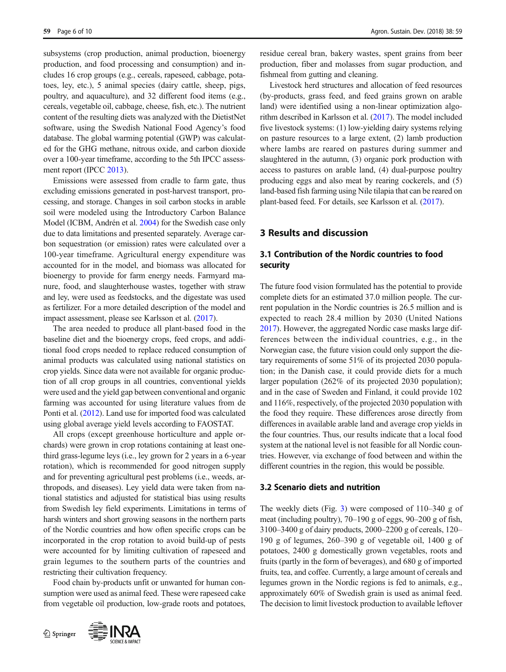subsystems (crop production, animal production, bioenergy production, and food processing and consumption) and includes 16 crop groups (e.g., cereals, rapeseed, cabbage, potatoes, ley, etc.), 5 animal species (dairy cattle, sheep, pigs, poultry, and aquaculture), and 32 different food items (e.g., cereals, vegetable oil, cabbage, cheese, fish, etc.). The nutrient content of the resulting diets was analyzed with the DietistNet software, using the Swedish National Food Agency's food database. The global warming potential (GWP) was calculated for the GHG methane, nitrous oxide, and carbon dioxide over a 100-year timeframe, according to the 5th IPCC assessment report (IPCC [2013\)](#page-9-0).

Emissions were assessed from cradle to farm gate, thus excluding emissions generated in post-harvest transport, processing, and storage. Changes in soil carbon stocks in arable soil were modeled using the Introductory Carbon Balance Model (ICBM, Andrén et al. [2004](#page-9-0)) for the Swedish case only due to data limitations and presented separately. Average carbon sequestration (or emission) rates were calculated over a 100-year timeframe. Agricultural energy expenditure was accounted for in the model, and biomass was allocated for bioenergy to provide for farm energy needs. Farmyard manure, food, and slaughterhouse wastes, together with straw and ley, were used as feedstocks, and the digestate was used as fertilizer. For a more detailed description of the model and impact assessment, please see Karlsson et al. [\(2017\)](#page-9-0).

The area needed to produce all plant-based food in the baseline diet and the bioenergy crops, feed crops, and additional food crops needed to replace reduced consumption of animal products was calculated using national statistics on crop yields. Since data were not available for organic production of all crop groups in all countries, conventional yields were used and the yield gap between conventional and organic farming was accounted for using literature values from de Ponti et al. [\(2012](#page-9-0)). Land use for imported food was calculated using global average yield levels according to FAOSTAT.

All crops (except greenhouse horticulture and apple orchards) were grown in crop rotations containing at least onethird grass-legume leys (i.e., ley grown for 2 years in a 6-year rotation), which is recommended for good nitrogen supply and for preventing agricultural pest problems (i.e., weeds, arthropods, and diseases). Ley yield data were taken from national statistics and adjusted for statistical bias using results from Swedish ley field experiments. Limitations in terms of harsh winters and short growing seasons in the northern parts of the Nordic countries and how often specific crops can be incorporated in the crop rotation to avoid build-up of pests were accounted for by limiting cultivation of rapeseed and grain legumes to the southern parts of the countries and restricting their cultivation frequency.

Food chain by-products unfit or unwanted for human consumption were used as animal feed. These were rapeseed cake from vegetable oil production, low-grade roots and potatoes,

<sup>2</sup> Springer



residue cereal bran, bakery wastes, spent grains from beer production, fiber and molasses from sugar production, and fishmeal from gutting and cleaning.

Livestock herd structures and allocation of feed resources (by-products, grass feed, and feed grains grown on arable land) were identified using a non-linear optimization algorithm described in Karlsson et al. [\(2017\)](#page-9-0). The model included five livestock systems: (1) low-yielding dairy systems relying on pasture resources to a large extent, (2) lamb production where lambs are reared on pastures during summer and slaughtered in the autumn, (3) organic pork production with access to pastures on arable land, (4) dual-purpose poultry producing eggs and also meat by rearing cockerels, and (5) land-based fish farming using Nile tilapia that can be reared on plant-based feed. For details, see Karlsson et al. ([2017](#page-9-0)).

#### 3 Results and discussion

# 3.1 Contribution of the Nordic countries to food security

The future food vision formulated has the potential to provide complete diets for an estimated 37.0 million people. The current population in the Nordic countries is 26.5 million and is expected to reach 28.4 million by 2030 (United Nations [2017\)](#page-9-0). However, the aggregated Nordic case masks large differences between the individual countries, e.g., in the Norwegian case, the future vision could only support the dietary requirements of some 51% of its projected 2030 population; in the Danish case, it could provide diets for a much larger population (262% of its projected 2030 population); and in the case of Sweden and Finland, it could provide 102 and 116%, respectively, of the projected 2030 population with the food they require. These differences arose directly from differences in available arable land and average crop yields in the four countries. Thus, our results indicate that a local food system at the national level is not feasible for all Nordic countries. However, via exchange of food between and within the different countries in the region, this would be possible.

#### 3.2 Scenario diets and nutrition

The weekly diets (Fig. [3\)](#page-6-0) were composed of 110–340 g of meat (including poultry), 70–190 g of eggs, 90–200 g of fish, 3100–3400 g of dairy products, 2000–2200 g of cereals, 120– 190 g of legumes, 260–390 g of vegetable oil, 1400 g of potatoes, 2400 g domestically grown vegetables, roots and fruits (partly in the form of beverages), and 680 g of imported fruits, tea, and coffee. Currently, a large amount of cereals and legumes grown in the Nordic regions is fed to animals, e.g., approximately 60% of Swedish grain is used as animal feed. The decision to limit livestock production to available leftover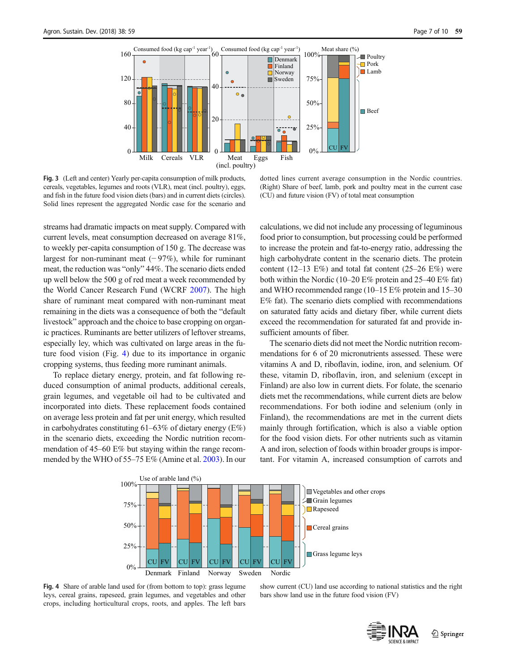<span id="page-6-0"></span>

Fig. 3 (Left and center) Yearly per-capita consumption of milk products, cereals, vegetables, legumes and roots (VLR), meat (incl. poultry), eggs, and fish in the future food vision diets (bars) and in current diets (circles). Solid lines represent the aggregated Nordic case for the scenario and

streams had dramatic impacts on meat supply. Compared with current levels, meat consumption decreased on average 81%, to weekly per-capita consumption of 150 g. The decrease was largest for non-ruminant meat  $(-97%)$ , while for ruminant meat, the reduction was "only" 44%. The scenario diets ended up well below the 500 g of red meat a week recommended by the World Cancer Research Fund (WCRF [2007](#page-9-0)). The high share of ruminant meat compared with non-ruminant meat remaining in the diets was a consequence of both the "default livestock" approach and the choice to base cropping on organic practices. Ruminants are better utilizers of leftover streams, especially ley, which was cultivated on large areas in the future food vision (Fig. 4) due to its importance in organic cropping systems, thus feeding more ruminant animals.

To replace dietary energy, protein, and fat following reduced consumption of animal products, additional cereals, grain legumes, and vegetable oil had to be cultivated and incorporated into diets. These replacement foods contained on average less protein and fat per unit energy, which resulted in carbohydrates constituting 61–63% of dietary energy (E%) in the scenario diets, exceeding the Nordic nutrition recommendation of 45–60 E% but staying within the range recommended by the WHO of 55–75 E% (Amine et al. [2003\)](#page-9-0). In our

dotted lines current average consumption in the Nordic countries. (Right) Share of beef, lamb, pork and poultry meat in the current case (CU) and future vision (FV) of total meat consumption

calculations, we did not include any processing of leguminous food prior to consumption, but processing could be performed to increase the protein and fat-to-energy ratio, addressing the high carbohydrate content in the scenario diets. The protein content (12–13  $E\%$ ) and total fat content (25–26  $E\%$ ) were both within the Nordic (10–20 E% protein and 25–40 E% fat) and WHO recommended range (10–15 E% protein and 15–30 E% fat). The scenario diets complied with recommendations on saturated fatty acids and dietary fiber, while current diets exceed the recommendation for saturated fat and provide insufficient amounts of fiber.

The scenario diets did not meet the Nordic nutrition recommendations for 6 of 20 micronutrients assessed. These were vitamins A and D, riboflavin, iodine, iron, and selenium. Of these, vitamin D, riboflavin, iron, and selenium (except in Finland) are also low in current diets. For folate, the scenario diets met the recommendations, while current diets are below recommendations. For both iodine and selenium (only in Finland), the recommendations are met in the current diets mainly through fortification, which is also a viable option for the food vision diets. For other nutrients such as vitamin A and iron, selection of foods within broader groups is important. For vitamin A, increased consumption of carrots and



Fig. 4 Share of arable land used for (from bottom to top): grass legume leys, cereal grains, rapeseed, grain legumes, and vegetables and other crops, including horticultural crops, roots, and apples. The left bars

show current (CU) land use according to national statistics and the right bars show land use in the future food vision (FV)

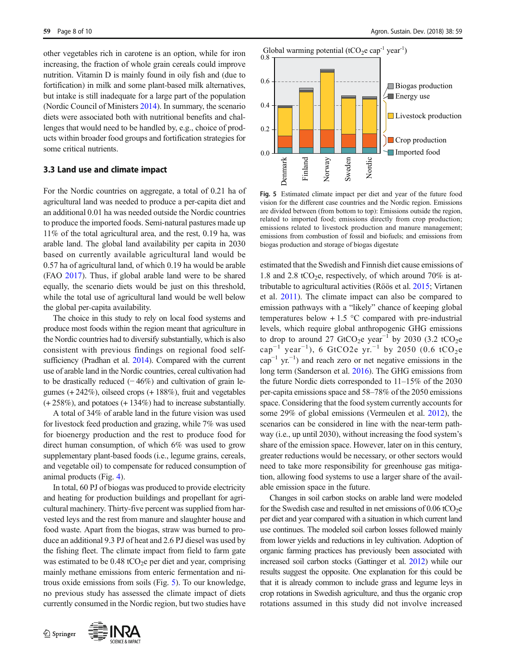other vegetables rich in carotene is an option, while for iron increasing, the fraction of whole grain cereals could improve nutrition. Vitamin D is mainly found in oily fish and (due to fortification) in milk and some plant-based milk alternatives, but intake is still inadequate for a large part of the population (Nordic Council of Ministers [2014\)](#page-9-0). In summary, the scenario diets were associated both with nutritional benefits and challenges that would need to be handled by, e.g., choice of products within broader food groups and fortification strategies for some critical nutrients.

#### 3.3 Land use and climate impact

For the Nordic countries on aggregate, a total of 0.21 ha of agricultural land was needed to produce a per-capita diet and an additional 0.01 ha was needed outside the Nordic countries to produce the imported foods. Semi-natural pastures made up 11% of the total agricultural area, and the rest, 0.19 ha, was arable land. The global land availability per capita in 2030 based on currently available agricultural land would be 0.57 ha of agricultural land, of which 0.19 ha would be arable (FAO [2017](#page-9-0)). Thus, if global arable land were to be shared equally, the scenario diets would be just on this threshold, while the total use of agricultural land would be well below the global per-capita availability.

The choice in this study to rely on local food systems and produce most foods within the region meant that agriculture in the Nordic countries had to diversify substantially, which is also consistent with previous findings on regional food self-sufficiency (Pradhan et al. [2014](#page-9-0)). Compared with the current use of arable land in the Nordic countries, cereal cultivation had to be drastically reduced  $(-46%)$  and cultivation of grain legumes (+ 242%), oilseed crops (+ 188%), fruit and vegetables (+ 258%), and potatoes (+ 134%) had to increase substantially.

A total of 34% of arable land in the future vision was used for livestock feed production and grazing, while 7% was used for bioenergy production and the rest to produce food for direct human consumption, of which 6% was used to grow supplementary plant-based foods (i.e., legume grains, cereals, and vegetable oil) to compensate for reduced consumption of animal products (Fig. [4\)](#page-6-0).

In total, 60 PJ of biogas was produced to provide electricity and heating for production buildings and propellant for agricultural machinery. Thirty-five percent was supplied from harvested leys and the rest from manure and slaughter house and food waste. Apart from the biogas, straw was burned to produce an additional 9.3 PJ of heat and 2.6 PJ diesel was used by the fishing fleet. The climate impact from field to farm gate was estimated to be  $0.48 \text{ tCO}_2$ e per diet and year, comprising mainly methane emissions from enteric fermentation and nitrous oxide emissions from soils (Fig. 5). To our knowledge, no previous study has assessed the climate impact of diets currently consumed in the Nordic region, but two studies have

2 Springer





Fig. 5 Estimated climate impact per diet and year of the future food vision for the different case countries and the Nordic region. Emissions are divided between (from bottom to top): Emissions outside the region, related to imported food; emissions directly from crop production; emissions related to livestock production and manure management; emissions from combustion of fossil and biofuels; and emissions from biogas production and storage of biogas digestate

estimated that the Swedish and Finnish diet cause emissions of 1.8 and 2.8 tCO<sub>2</sub>e, respectively, of which around 70% is attributable to agricultural activities (Röös et al. [2015;](#page-9-0) Virtanen et al. [2011](#page-9-0)). The climate impact can also be compared to emission pathways with a "likely" chance of keeping global temperatures below  $+1.5$  °C compared with pre-industrial levels, which require global anthropogenic GHG emissions to drop to around 27 GtCO<sub>2</sub>e year<sup>-1</sup> by 2030 (3.2 tCO<sub>2</sub>e  $cap^{-1}$  year<sup>-1</sup>), 6 GtCO2e yr.<sup>-1</sup> by 2050 (0.6 tCO<sub>2</sub>e  $cap^{-1}$  yr.<sup>-1</sup>) and reach zero or net negative emissions in the long term (Sanderson et al. [2016](#page-9-0)). The GHG emissions from the future Nordic diets corresponded to 11–15% of the 2030 per-capita emissions space and 58–78% of the 2050 emissions space. Considering that the food system currently accounts for some 29% of global emissions (Vermeulen et al. [2012](#page-9-0)), the scenarios can be considered in line with the near-term pathway (i.e., up until 2030), without increasing the food system's share of the emission space. However, later on in this century, greater reductions would be necessary, or other sectors would need to take more responsibility for greenhouse gas mitigation, allowing food systems to use a larger share of the available emission space in the future.

Changes in soil carbon stocks on arable land were modeled for the Swedish case and resulted in net emissions of  $0.06$  tCO<sub>2</sub>e per diet and year compared with a situation in which current land use continues. The modeled soil carbon losses followed mainly from lower yields and reductions in ley cultivation. Adoption of organic farming practices has previously been associated with increased soil carbon stocks (Gattinger et al. [2012\)](#page-9-0) while our results suggest the opposite. One explanation for this could be that it is already common to include grass and legume leys in crop rotations in Swedish agriculture, and thus the organic crop rotations assumed in this study did not involve increased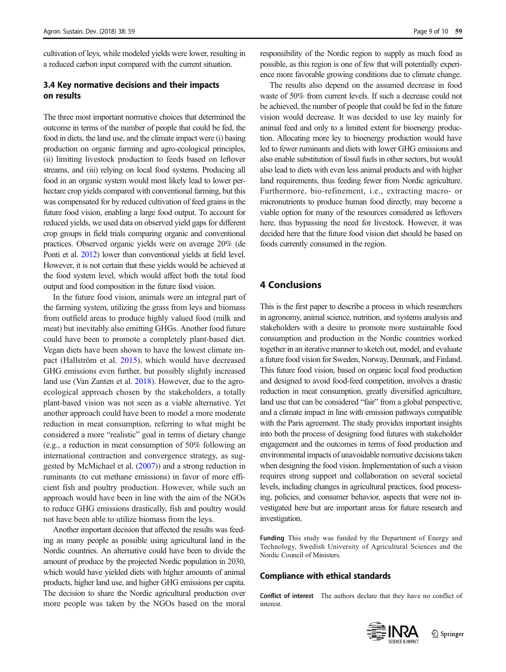cultivation of leys, while modeled yields were lower, resulting in a reduced carbon input compared with the current situation.

# 3.4 Key normative decisions and their impacts on results

The three most important normative choices that determined the outcome in terms of the number of people that could be fed, the food in diets, the land use, and the climate impact were (i) basing production on organic farming and agro-ecological principles, (ii) limiting livestock production to feeds based on leftover streams, and (iii) relying on local food systems. Producing all food in an organic system would most likely lead to lower perhectare crop yields compared with conventional farming, but this was compensated for by reduced cultivation of feed grains in the future food vision, enabling a large food output. To account for reduced yields, we used data on observed yield gaps for different crop groups in field trials comparing organic and conventional practices. Observed organic yields were on average 20% (de Ponti et al. [2012](#page-9-0)) lower than conventional yields at field level. However, it is not certain that these yields would be achieved at the food system level, which would affect both the total food output and food composition in the future food vision.

In the future food vision, animals were an integral part of the farming system, utilizing the grass from leys and biomass from outfield areas to produce highly valued food (milk and meat) but inevitably also emitting GHGs. Another food future could have been to promote a completely plant-based diet. Vegan diets have been shown to have the lowest climate impact (Hallström et al. [2015\)](#page-9-0), which would have decreased GHG emissions even further, but possibly slightly increased land use (Van Zanten et al. [2018](#page-9-0)). However, due to the agroecological approach chosen by the stakeholders, a totally plant-based vision was not seen as a viable alternative. Yet another approach could have been to model a more moderate reduction in meat consumption, referring to what might be considered a more "realistic" goal in terms of dietary change (e.g., a reduction in meat consumption of 50% following an international contraction and convergence strategy, as suggested by McMichael et al. [\(2007\)](#page-9-0)) and a strong reduction in ruminants (to cut methane emissions) in favor of more efficient fish and poultry production. However, while such an approach would have been in line with the aim of the NGOs to reduce GHG emissions drastically, fish and poultry would not have been able to utilize biomass from the leys.

Another important decision that affected the results was feeding as many people as possible using agricultural land in the Nordic countries. An alternative could have been to divide the amount of produce by the projected Nordic population in 2030, which would have yielded diets with higher amounts of animal products, higher land use, and higher GHG emissions per capita. The decision to share the Nordic agricultural production over more people was taken by the NGOs based on the moral responsibility of the Nordic region to supply as much food as possible, as this region is one of few that will potentially experience more favorable growing conditions due to climate change.

The results also depend on the assumed decrease in food waste of 50% from current levels. If such a decrease could not be achieved, the number of people that could be fed in the future vision would decrease. It was decided to use ley mainly for animal feed and only to a limited extent for bioenergy production. Allocating more ley to bioenergy production would have led to fewer ruminants and diets with lower GHG emissions and also enable substitution of fossil fuels in other sectors, but would also lead to diets with even less animal products and with higher land requirements, thus feeding fewer from Nordic agriculture. Furthermore, bio-refinement, i.e., extracting macro- or micronutrients to produce human food directly, may become a viable option for many of the resources considered as leftovers here, thus bypassing the need for livestock. However, it was decided here that the future food vision diet should be based on foods currently consumed in the region.

# 4 Conclusions

This is the first paper to describe a process in which researchers in agronomy, animal science, nutrition, and systems analysis and stakeholders with a desire to promote more sustainable food consumption and production in the Nordic countries worked together in an iterative manner to sketch out, model, and evaluate a future food vision for Sweden, Norway, Denmark, and Finland. This future food vision, based on organic local food production and designed to avoid food-feed competition, involves a drastic reduction in meat consumption, greatly diversified agriculture, land use that can be considered "fair" from a global perspective, and a climate impact in line with emission pathways compatible with the Paris agreement. The study provides important insights into both the process of designing food futures with stakeholder engagement and the outcomes in terms of food production and environmental impacts of unavoidable normative decisions taken when designing the food vision. Implementation of such a vision requires strong support and collaboration on several societal levels, including changes in agricultural practices, food processing, policies, and consumer behavior, aspects that were not investigated here but are important areas for future research and investigation.

Funding This study was funded by the Department of Energy and Technology, Swedish University of Agricultural Sciences and the Nordic Council of Ministers.

#### Compliance with ethical standards

Conflict of interest The authors declare that they have no conflict of interest.